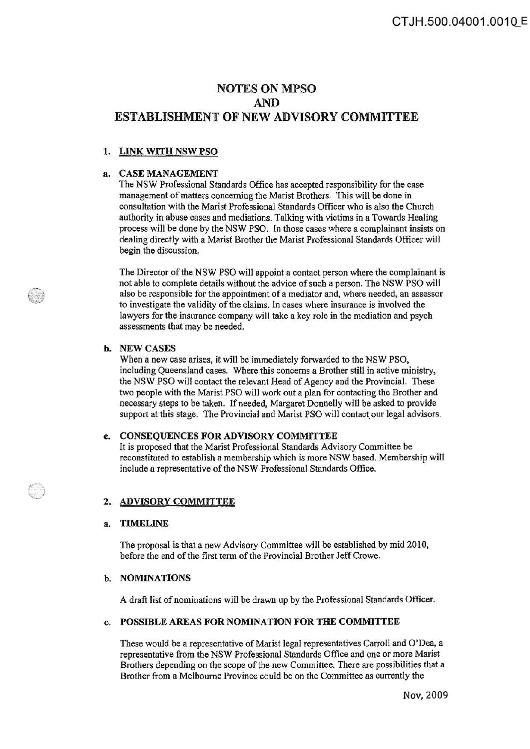# NOTES ON MPSO AND ESTABLISHMENT OF NEW ADVISORY COMMITTEE

## 1. LINK WITH NSW PSO

### a. CASE MANAGEMENT

The NSW Professional Standards Office has accepted responsibility for the case management of matters concerning the Marist Brothers. This will be done in consultation with the Marist Professional Standards Officer who is also the Church authority in abuse cases and mediations. Talking with victims in a Towards Healing process will be done by the NSW PSO. In those cases where a complainant insists on dealing directly with a Marist Brother the Marist Professional Standards Officer will begin the discussion.

The Director of the NSW PSO will appoint a contact person where the complainant is not able to complete details without the advice of such a person. The NSW PSO will also be responsible for the appointment of a mediator and, where needed, an assessor to investigate the validity of the claims. In cases where insurance is involved the lawyers for the insurance company will take a key role in the mediation and psych assessments that may be needed.

#### b. NEWCASES

When a new case arises, it will be immediately forwarded to the NSW PSO, including Queensland cases. Where this concerns a Brother still in active ministry, the NSW PSO will contact the relevant Head of Agency and the Provincial. These two people with the Marist PSO will work out a plan for contacting the Brother and necessary steps to be taken. If needed, Margaret Donnelly wi1l be asked to provide support at this stage. The Provincial and Marist PSO will contact our legal advisors.

## c. CONSEQUENCES FOR ADVISORY COMMITTEE

It is proposed that the Marist Professional Standards Advisory Committee be reconstituted to establish a membership which is more NSW based. Membership will include a representative of the NSW Professional Standards Office.

## 2. ADVISORY COMMITTEE

#### a. TIMELINE

The proposal is that a new Advisory Committee will be established by mid 2010, before the end of the first term of the Provincial Brother Jeff Crowe.

## b. NOMINATIONS

A draft list of nominations will be drawn up by the Professional Standards Officer.

#### c. POSSIBLE AREAS FOR NOMINATION FOR THE COMMITTEE

These would be a representative of Marist legal representatives Carroll and O'Dea, a representative from the NSW Professional Standards Office and one or more Marist Brothers depending on the scope of the new Committee. There are possibilities that a Brother from a Melbourne Province could be on the Committee as currently the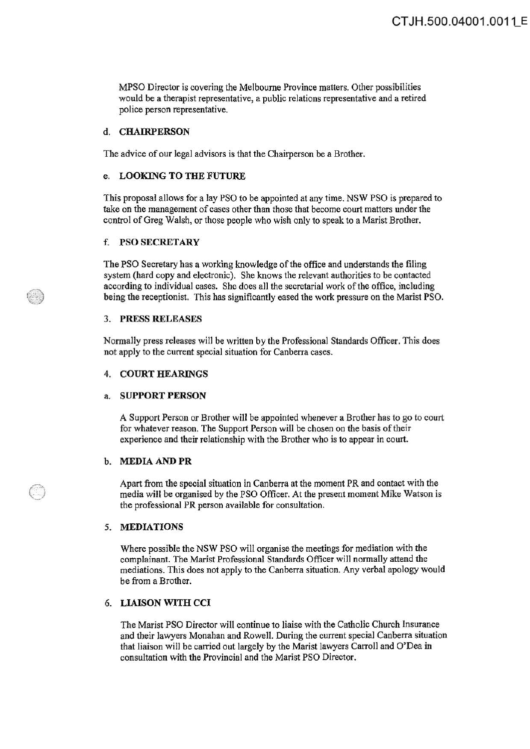MPSO Director is covering the Melbourne Province matters. Other possibilities would be a therapist representative, a public relations representative and a retired police person representative.

#### d. CHAIRPERSON

The advice of our legal advisors is that the Chairperson be a Brother.

## e. LOOKING TO THE FUTURE

This proposal allows for a lay PSO to be appointed at any time. NSW PSO is prepared to take on the management of cases other than those that become court matters under the control of Greg Walsh, or those people who wish only to speak to a Marist Brother.

### f. PSO SECRETARY

The PSO Secretary has a working knowledge of the office and understands the filing system (hard copy and electronic). She knows the relevant authorities to be contacted according to individual cases. She does all the secretarial work of the office, including being the receptionist. This has significantly eased the work pressure on the Marist PSO.

#### 3. PRESS RELEASES

Normally press releases wilJ be written by the Professional Standards Officer. This does not apply to the current special situation for Canberra cases.

#### 4. COURT HEARINGS

#### a. SUPPORT PERSON

A Support Person or Brother will be appointed whenever a Brother has to go to court for whatever reason. The Support Person will be chosen on the basis of their experience and their relationship with the Brother who is to appear in court.

#### b. MEDIA AND PR

Apart from the special situation in Canberra at the moment PR and contact with the media will be organised by the PSO Officer. At the present moment Mike Watson is the professional PR person available for consultation.

#### 5. MEDIATIONS

an<br>A

Where possible the NSW PSO will organise the meetings for mediation with the complainant. The Marist Professional Standards Officer will normally attend the mediations. This does not apply to the Canberra situation. Any verbal apology would be from a Brother.

## 6. LIAISON WITH CCI

The Marist PSO Director will continue to liaise with the Catholic Church Insurance and their lawyers Monahan and Rowell. During the current special Canberra situation that liaison will be carried out largely by the Marist lawyers Carroll and O'Dea in consultation with the Provincial and the Marist PSO Director.